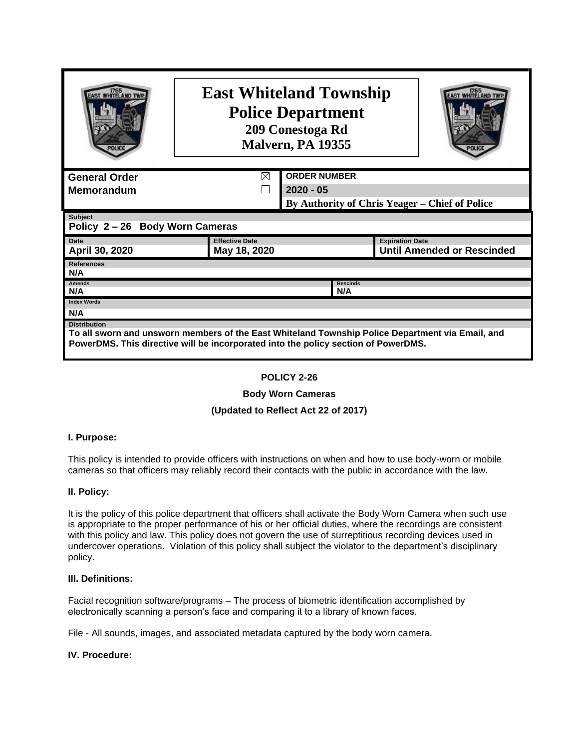| 1765                                                                                                                    | <b>East Whiteland Township</b><br><b>Police Department</b><br>209 Conestoga Rd<br>Malvern, PA 19355 |                     |  |                                                |  |  |  |
|-------------------------------------------------------------------------------------------------------------------------|-----------------------------------------------------------------------------------------------------|---------------------|--|------------------------------------------------|--|--|--|
| <b>General Order</b>                                                                                                    | ⊠                                                                                                   | <b>ORDER NUMBER</b> |  |                                                |  |  |  |
| <b>Memorandum</b>                                                                                                       | $2020 - 05$                                                                                         |                     |  |                                                |  |  |  |
|                                                                                                                         |                                                                                                     |                     |  | By Authority of Chris Yeager – Chief of Police |  |  |  |
| <b>Subject</b><br>Policy 2-26 Body Worn Cameras                                                                         |                                                                                                     |                     |  |                                                |  |  |  |
| <b>Effective Date</b><br><b>Expiration Date</b><br><b>Date</b>                                                          |                                                                                                     |                     |  |                                                |  |  |  |
| April 30, 2020<br>May 18, 2020                                                                                          |                                                                                                     |                     |  | <b>Until Amended or Rescinded</b>              |  |  |  |
| <b>References</b><br>N/A                                                                                                |                                                                                                     |                     |  |                                                |  |  |  |
| <b>Amends</b><br><b>Rescinds</b><br>N/A<br>N/A                                                                          |                                                                                                     |                     |  |                                                |  |  |  |
| <b>Index Words</b>                                                                                                      |                                                                                                     |                     |  |                                                |  |  |  |
| N/A                                                                                                                     |                                                                                                     |                     |  |                                                |  |  |  |
| <b>Distribution</b><br>To all sworn and unsworn members of the East Whiteland Township Police Department via Email, and |                                                                                                     |                     |  |                                                |  |  |  |
| PowerDMS. This directive will be incorporated into the policy section of PowerDMS.                                      |                                                                                                     |                     |  |                                                |  |  |  |

## **POLICY 2-26**

## **Body Worn Cameras**

# **(Updated to Reflect Act 22 of 2017)**

## **I. Purpose:**

This policy is intended to provide officers with instructions on when and how to use body-worn or mobile cameras so that officers may reliably record their contacts with the public in accordance with the law.

### **II. Policy:**

It is the policy of this police department that officers shall activate the Body Worn Camera when such use is appropriate to the proper performance of his or her official duties, where the recordings are consistent with this policy and law. This policy does not govern the use of surreptitious recording devices used in undercover operations. Violation of this policy shall subject the violator to the department's disciplinary policy.

### **III. Definitions:**

Facial recognition software/programs – The process of biometric identification accomplished by electronically scanning a person's face and comparing it to a library of known faces.

File - All sounds, images, and associated metadata captured by the body worn camera.

## **IV. Procedure:**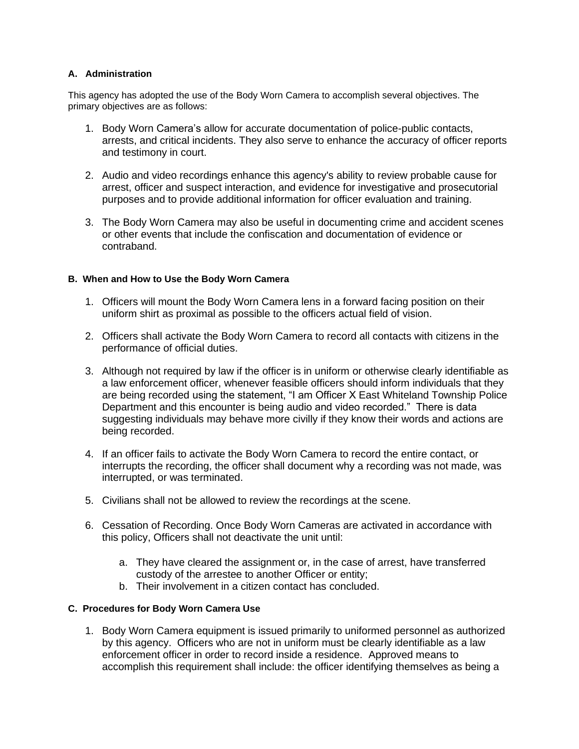## **A. Administration**

This agency has adopted the use of the Body Worn Camera to accomplish several objectives. The primary objectives are as follows:

- 1. Body Worn Camera's allow for accurate documentation of police-public contacts, arrests, and critical incidents. They also serve to enhance the accuracy of officer reports and testimony in court.
- 2. Audio and video recordings enhance this agency's ability to review probable cause for arrest, officer and suspect interaction, and evidence for investigative and prosecutorial purposes and to provide additional information for officer evaluation and training.
- 3. The Body Worn Camera may also be useful in documenting crime and accident scenes or other events that include the confiscation and documentation of evidence or contraband.

## **B. When and How to Use the Body Worn Camera**

- 1. Officers will mount the Body Worn Camera lens in a forward facing position on their uniform shirt as proximal as possible to the officers actual field of vision.
- 2. Officers shall activate the Body Worn Camera to record all contacts with citizens in the performance of official duties.
- 3. Although not required by law if the officer is in uniform or otherwise clearly identifiable as a law enforcement officer, whenever feasible officers should inform individuals that they are being recorded using the statement, "I am Officer X East Whiteland Township Police Department and this encounter is being audio and video recorded." There is data suggesting individuals may behave more civilly if they know their words and actions are being recorded.
- 4. If an officer fails to activate the Body Worn Camera to record the entire contact, or interrupts the recording, the officer shall document why a recording was not made, was interrupted, or was terminated.
- 5. Civilians shall not be allowed to review the recordings at the scene.
- 6. Cessation of Recording. Once Body Worn Cameras are activated in accordance with this policy, Officers shall not deactivate the unit until:
	- a. They have cleared the assignment or, in the case of arrest, have transferred custody of the arrestee to another Officer or entity;
	- b. Their involvement in a citizen contact has concluded.

### **C. Procedures for Body Worn Camera Use**

1. Body Worn Camera equipment is issued primarily to uniformed personnel as authorized by this agency. Officers who are not in uniform must be clearly identifiable as a law enforcement officer in order to record inside a residence. Approved means to accomplish this requirement shall include: the officer identifying themselves as being a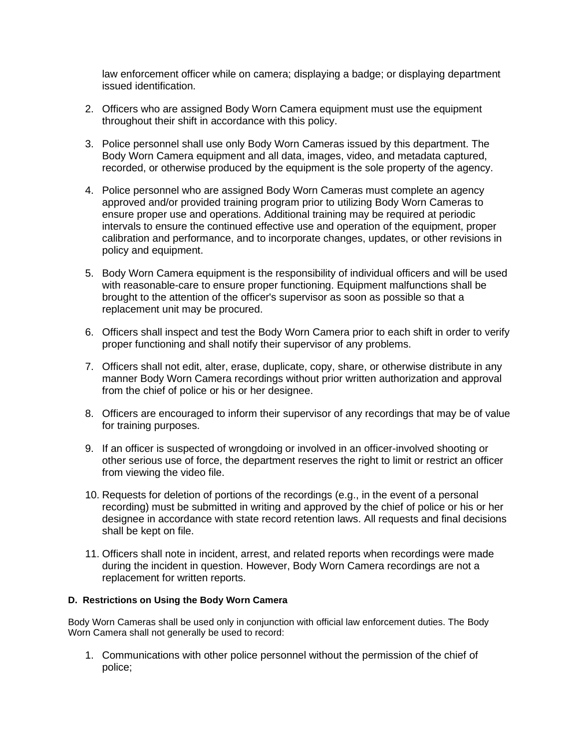law enforcement officer while on camera; displaying a badge; or displaying department issued identification.

- 2. Officers who are assigned Body Worn Camera equipment must use the equipment throughout their shift in accordance with this policy.
- 3. Police personnel shall use only Body Worn Cameras issued by this department. The Body Worn Camera equipment and all data, images, video, and metadata captured, recorded, or otherwise produced by the equipment is the sole property of the agency.
- 4. Police personnel who are assigned Body Worn Cameras must complete an agency approved and/or provided training program prior to utilizing Body Worn Cameras to ensure proper use and operations. Additional training may be required at periodic intervals to ensure the continued effective use and operation of the equipment, proper calibration and performance, and to incorporate changes, updates, or other revisions in policy and equipment.
- 5. Body Worn Camera equipment is the responsibility of individual officers and will be used with reasonable-care to ensure proper functioning. Equipment malfunctions shall be brought to the attention of the officer's supervisor as soon as possible so that a replacement unit may be procured.
- 6. Officers shall inspect and test the Body Worn Camera prior to each shift in order to verify proper functioning and shall notify their supervisor of any problems.
- 7. Officers shall not edit, alter, erase, duplicate, copy, share, or otherwise distribute in any manner Body Worn Camera recordings without prior written authorization and approval from the chief of police or his or her designee.
- 8. Officers are encouraged to inform their supervisor of any recordings that may be of value for training purposes.
- 9. If an officer is suspected of wrongdoing or involved in an officer-involved shooting or other serious use of force, the department reserves the right to limit or restrict an officer from viewing the video file.
- 10. Requests for deletion of portions of the recordings (e.g., in the event of a personal recording) must be submitted in writing and approved by the chief of police or his or her designee in accordance with state record retention laws. All requests and final decisions shall be kept on file.
- 11. Officers shall note in incident, arrest, and related reports when recordings were made during the incident in question. However, Body Worn Camera recordings are not a replacement for written reports.

## **D. Restrictions on Using the Body Worn Camera**

Body Worn Cameras shall be used only in conjunction with official law enforcement duties. The Body Worn Camera shall not generally be used to record:

1. Communications with other police personnel without the permission of the chief of police;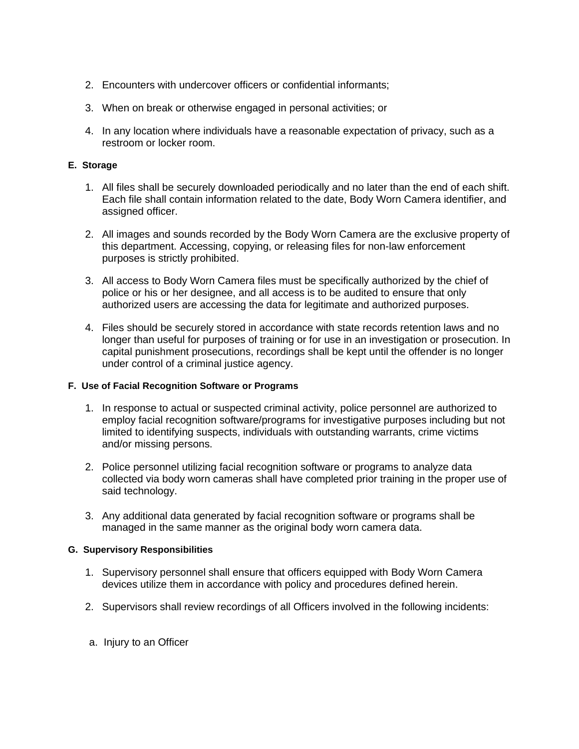- 2. Encounters with undercover officers or confidential informants;
- 3. When on break or otherwise engaged in personal activities; or
- 4. In any location where individuals have a reasonable expectation of privacy, such as a restroom or locker room.

## **E. Storage**

- 1. All files shall be securely downloaded periodically and no later than the end of each shift. Each file shall contain information related to the date, Body Worn Camera identifier, and assigned officer.
- 2. All images and sounds recorded by the Body Worn Camera are the exclusive property of this department. Accessing, copying, or releasing files for non-law enforcement purposes is strictly prohibited.
- 3. All access to Body Worn Camera files must be specifically authorized by the chief of police or his or her designee, and all access is to be audited to ensure that only authorized users are accessing the data for legitimate and authorized purposes.
- 4. Files should be securely stored in accordance with state records retention laws and no longer than useful for purposes of training or for use in an investigation or prosecution. In capital punishment prosecutions, recordings shall be kept until the offender is no longer under control of a criminal justice agency.

## **F. Use of Facial Recognition Software or Programs**

- 1. In response to actual or suspected criminal activity, police personnel are authorized to employ facial recognition software/programs for investigative purposes including but not limited to identifying suspects, individuals with outstanding warrants, crime victims and/or missing persons.
- 2. Police personnel utilizing facial recognition software or programs to analyze data collected via body worn cameras shall have completed prior training in the proper use of said technology.
- 3. Any additional data generated by facial recognition software or programs shall be managed in the same manner as the original body worn camera data.

## **G. Supervisory Responsibilities**

- 1. Supervisory personnel shall ensure that officers equipped with Body Worn Camera devices utilize them in accordance with policy and procedures defined herein.
- 2. Supervisors shall review recordings of all Officers involved in the following incidents:
- a. Injury to an Officer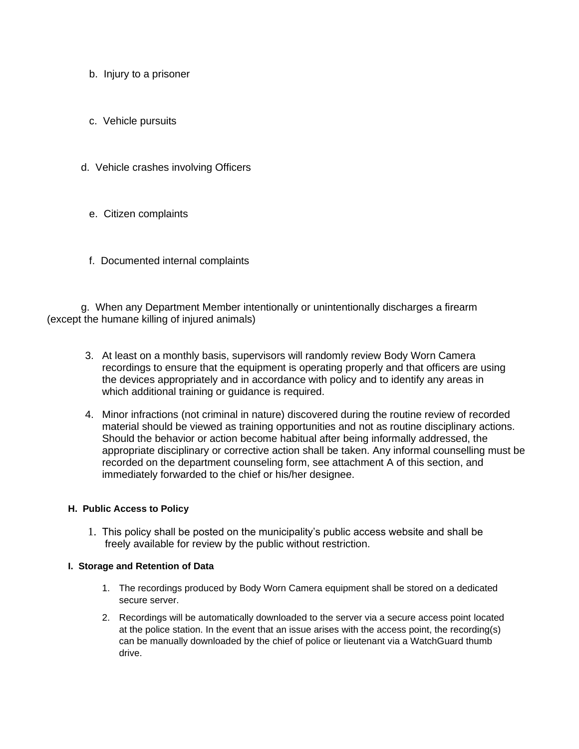- b. Injury to a prisoner
- c. Vehicle pursuits
- d. Vehicle crashes involving Officers
	- e. Citizen complaints
	- f. Documented internal complaints

g. When any Department Member intentionally or unintentionally discharges a firearm (except the humane killing of injured animals)

- 3. At least on a monthly basis, supervisors will randomly review Body Worn Camera recordings to ensure that the equipment is operating properly and that officers are using the devices appropriately and in accordance with policy and to identify any areas in which additional training or guidance is required.
- 4. Minor infractions (not criminal in nature) discovered during the routine review of recorded material should be viewed as training opportunities and not as routine disciplinary actions. Should the behavior or action become habitual after being informally addressed, the appropriate disciplinary or corrective action shall be taken. Any informal counselling must be recorded on the department counseling form, see attachment A of this section, and immediately forwarded to the chief or his/her designee.

### **H. Public Access to Policy**

1. This policy shall be posted on the municipality's public access website and shall be freely available for review by the public without restriction.

### **I. Storage and Retention of Data**

- 1. The recordings produced by Body Worn Camera equipment shall be stored on a dedicated secure server.
- 2. Recordings will be automatically downloaded to the server via a secure access point located at the police station. In the event that an issue arises with the access point, the recording(s) can be manually downloaded by the chief of police or lieutenant via a WatchGuard thumb drive.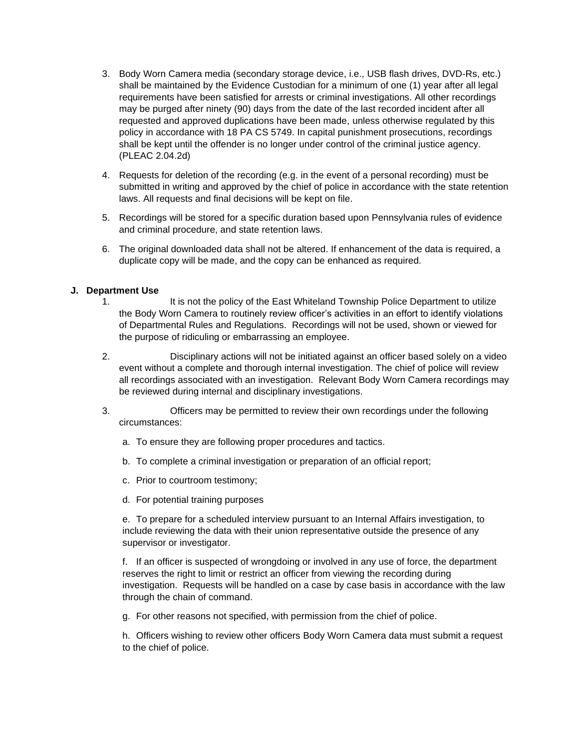- 3. Body Worn Camera media (secondary storage device, i.e., USB flash drives, DVD-Rs, etc.) shall be maintained by the Evidence Custodian for a minimum of one (1) year after all legal requirements have been satisfied for arrests or criminal investigations. All other recordings may be purged after ninety (90) days from the date of the last recorded incident after all requested and approved duplications have been made, unless otherwise regulated by this policy in accordance with 18 PA CS 5749. In capital punishment prosecutions, recordings shall be kept until the offender is no longer under control of the criminal justice agency. (PLEAC 2.04.2d)
- 4. Requests for deletion of the recording (e.g. in the event of a personal recording) must be submitted in writing and approved by the chief of police in accordance with the state retention laws. All requests and final decisions will be kept on file.
- 5. Recordings will be stored for a specific duration based upon Pennsylvania rules of evidence and criminal procedure, and state retention laws.
- 6. The original downloaded data shall not be altered. If enhancement of the data is required, a duplicate copy will be made, and the copy can be enhanced as required.

### **J. Department Use**

- 1. It is not the policy of the East Whiteland Township Police Department to utilize the Body Worn Camera to routinely review officer's activities in an effort to identify violations of Departmental Rules and Regulations. Recordings will not be used, shown or viewed for the purpose of ridiculing or embarrassing an employee.
- 2. Disciplinary actions will not be initiated against an officer based solely on a video event without a complete and thorough internal investigation. The chief of police will review all recordings associated with an investigation. Relevant Body Worn Camera recordings may be reviewed during internal and disciplinary investigations.
- 3. Officers may be permitted to review their own recordings under the following circumstances:
	- a. To ensure they are following proper procedures and tactics.
	- b. To complete a criminal investigation or preparation of an official report;
	- c. Prior to courtroom testimony;
	- d. For potential training purposes

e. To prepare for a scheduled interview pursuant to an Internal Affairs investigation, to include reviewing the data with their union representative outside the presence of any supervisor or investigator.

f. If an officer is suspected of wrongdoing or involved in any use of force, the department reserves the right to limit or restrict an officer from viewing the recording during investigation. Requests will be handled on a case by case basis in accordance with the law through the chain of command.

g. For other reasons not specified, with permission from the chief of police.

h. Officers wishing to review other officers Body Worn Camera data must submit a request to the chief of police.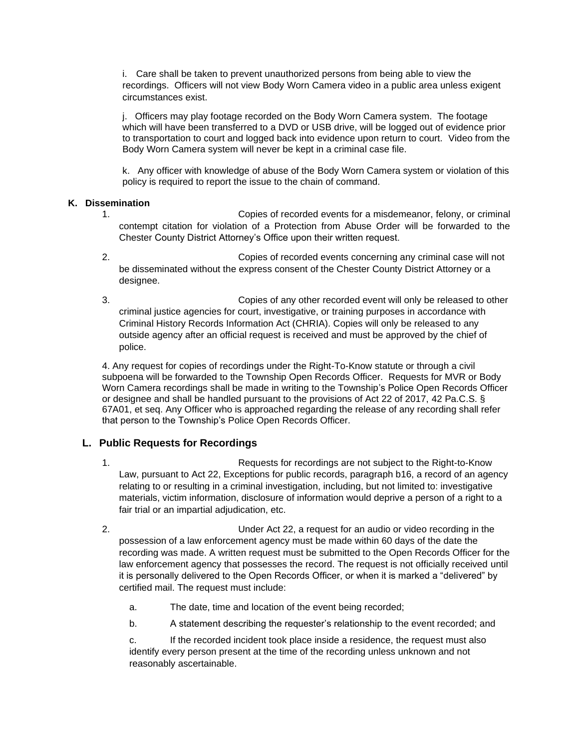i. Care shall be taken to prevent unauthorized persons from being able to view the recordings. Officers will not view Body Worn Camera video in a public area unless exigent circumstances exist.

j. Officers may play footage recorded on the Body Worn Camera system. The footage which will have been transferred to a DVD or USB drive, will be logged out of evidence prior to transportation to court and logged back into evidence upon return to court. Video from the Body Worn Camera system will never be kept in a criminal case file.

k. Any officer with knowledge of abuse of the Body Worn Camera system or violation of this policy is required to report the issue to the chain of command.

## **K. Dissemination**

- 1. Copies of recorded events for a misdemeanor, felony, or criminal contempt citation for violation of a Protection from Abuse Order will be forwarded to the Chester County District Attorney's Office upon their written request.
- 2. Copies of recorded events concerning any criminal case will not be disseminated without the express consent of the Chester County District Attorney or a designee.
- 3. Copies of any other recorded event will only be released to other criminal justice agencies for court, investigative, or training purposes in accordance with Criminal History Records Information Act (CHRIA). Copies will only be released to any outside agency after an official request is received and must be approved by the chief of police.

4. Any request for copies of recordings under the Right-To-Know statute or through a civil subpoena will be forwarded to the Township Open Records Officer. Requests for MVR or Body Worn Camera recordings shall be made in writing to the Township's Police Open Records Officer or designee and shall be handled pursuant to the provisions of Act 22 of 2017, 42 Pa.C.S. § 67A01, et seq. Any Officer who is approached regarding the release of any recording shall refer that person to the Township's Police Open Records Officer.

# **L. Public Requests for Recordings**

- 1. Requests for recordings are not subject to the Right-to-Know Law, pursuant to Act 22, Exceptions for public records, paragraph b16, a record of an agency relating to or resulting in a criminal investigation, including, but not limited to: investigative materials, victim information, disclosure of information would deprive a person of a right to a fair trial or an impartial adjudication, etc.
- 2. Under Act 22, a request for an audio or video recording in the possession of a law enforcement agency must be made within 60 days of the date the recording was made. A written request must be submitted to the Open Records Officer for the law enforcement agency that possesses the record. The request is not officially received until it is personally delivered to the Open Records Officer, or when it is marked a "delivered" by certified mail. The request must include:
	- a. The date, time and location of the event being recorded;
	- b. A statement describing the requester's relationship to the event recorded; and

c. If the recorded incident took place inside a residence, the request must also identify every person present at the time of the recording unless unknown and not reasonably ascertainable.